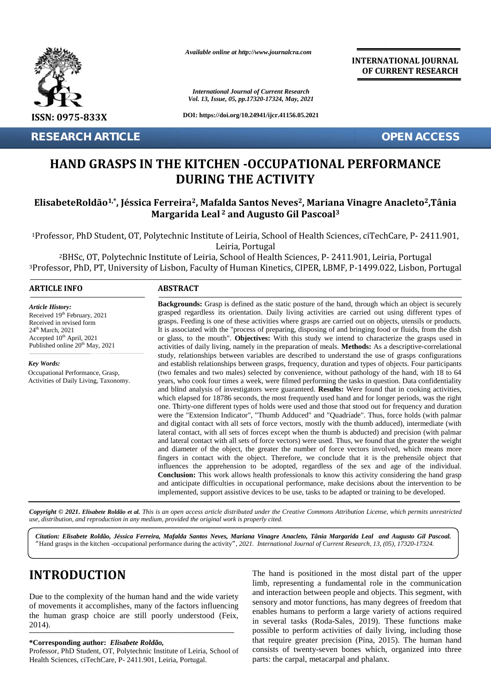

**RESEARCH ARTICLE OPEN ACCESS**

*Available online at http://www.journalcra.com*

*International Journal of Current Research Vol. 13, Issue, 05, pp.17320-17324, May, 2021 International Journal of 2021*

**DOI: https://doi.org/10.24941/ijcr.41156.05.2021**

**OF CURRENT RESEARCH**

**INTERNATIONAL JOURNAL**

## **HAND GRASPS IN THE KITCHEN -OCCUPATIONAL PERFORMANCE THE KITCHEN PERFORMANCEDURING THE ACTIVITY**

#### ElisabeteRoldão¼, Jéssica Ferreira², Mafalda Santos Neves², Mariana Vinagre Anacleto²,Tânia **Margarida Leal <sup>2</sup> and Augusto Gil Pascoal<sup>3</sup> Margarida 2Augusto**

| <b>RESEARCH ARTICLE</b>                                                                                                                     |                                                                                                                                                                                                                                                                                                                                                                                                                                                                                                                                                   | <b>OPEN ACCESS</b> |
|---------------------------------------------------------------------------------------------------------------------------------------------|---------------------------------------------------------------------------------------------------------------------------------------------------------------------------------------------------------------------------------------------------------------------------------------------------------------------------------------------------------------------------------------------------------------------------------------------------------------------------------------------------------------------------------------------------|--------------------|
|                                                                                                                                             | HAND GRASPS IN THE KITCHEN -OCCUPATIONAL PERFORMANCE<br><b>DURING THE ACTIVITY</b>                                                                                                                                                                                                                                                                                                                                                                                                                                                                |                    |
|                                                                                                                                             | ElisabeteRoldão <sup>1,*</sup> , Jéssica Ferreira <sup>2</sup> , Mafalda Santos Neves <sup>2</sup> , Mariana Vinagre Anacleto <sup>2</sup> , Tânia<br>Margarida Leal <sup>2</sup> and Augusto Gil Pascoal <sup>3</sup>                                                                                                                                                                                                                                                                                                                            |                    |
|                                                                                                                                             | <sup>1</sup> Professor, PhD Student, OT, Polytechnic Institute of Leiria, School of Health Sciences, ciTechCare, P- 2411.901,<br>Leiria, Portugal<br><sup>2</sup> BHSc, OT, Polytechnic Institute of Leiria, School of Health Sciences, P- 2411.901, Leiria, Portugal<br><sup>3</sup> Professor, PhD, PT, University of Lisbon, Faculty of Human Kinetics, CIPER, LBMF, P-1499.022, Lisbon, Portugal                                                                                                                                              |                    |
| <b>ARTICLE INFO</b>                                                                                                                         | <b>ABSTRACT</b>                                                                                                                                                                                                                                                                                                                                                                                                                                                                                                                                   |                    |
| <b>Article History:</b><br>Received 19th February, 2021<br>Received in revised form<br>$24th$ March, 2021<br>Accepted $10^{th}$ April, 2021 | <b>Backgrounds:</b> Grasp is defined as the static posture of the hand, through which an object is securely<br>grasped regardless its orientation. Daily living activities are carried out using different types of<br>grasps. Feeding is one of these activities where grasps are carried out on objects, utensils or products.<br>It is associated with the "process of preparing, disposing of and bringing food or fluids, from the dish<br>or glass, to the mouth". Objectives: With this study we intend to characterize the grasps used in |                    |

Received in revised form  $24<sup>th</sup> March, 2021$ Accepted  $10^{th}$  April, 2021  $\hspace{1.5cm}$  0. Accepted 10<sup>th</sup> April, 2021<br>Published online 20<sup>th</sup> May, 2021 Received in revised form ™ repruary, 2<br>revised form

*Key Words:* Occupational Performance, Grasp,

Activities of Daily Living, Taxonomy.

grasps. Feeding is one of these activities where grasps are carried out on objects, utensils or products. or glass, to the mouth". **Objectives:** With this study we intend to characterize the grasps used in activities of daily living, namely in the preparation of meals. **Methods:** As a descriptive-correlational study, relationships between variables are described to understand the use of grasps configurations and establish relationships between grasps, frequency, duration and types of objects. Four participants (two females and two males) selected by convenience, without pathology of the hand, with 18 to 64 years, who cook four times a week, were filmed performing the tasks in question. Data confidentiality and blind analysis of investigators were guaranteed. **Results:** Were found that in cooking activities, which elapsed for 18786 seconds, the most frequently used hand and for longer periods, was the right one. Thirty-one different types of holds were used and those that stood out for frequency and duration were the "Extension Indicator", "Thumb Adduced" and "Quadríade". Thus, force holds (with palmar and digital contact with all sets of force vectors, mostly with the thumb adduced), intermediate (with lateral contact, with all sets of forces except when the thumb is abducted) and precision (with palmar and lateral contact with all sets of force vectors) were used. Thus, we found that the greater the weight and diameter of the object, the greater the number of force vectors involved, which means more fingers in contact with the object. Therefore, we conclude that it is the prehensile object that influences the apprehension to be adopted, regardless of the sex and age of the individual. **Conclusion:** This work allows health professionals to know this activity considering the hand grasp and anticipate difficulties in occupational performance, make decisions about the intervention to be implemented, support assistive devices to be use, tasks to be adapted or training to be developed. or glass, to the mouth". **Objectives:** With this study we intend to characterize the grasps used in activities of daily living, namely in the preparation of meals. **Methods:** As a descriptive-correlational study, relations years, who cook four times a week, were filmed performing the tasks in question. Data confidentiality<br>and blind analysis of investigators were guaranteed. **Results:** Were found that in cooking activities,<br>which elapsed for **Conclusion:** This work allows health professionals to know this activity considering the hand grasp and anticipate difficulties in occupational performance, make decisions about the intervention to be implemented, support *C* excity 19<sup>2</sup> General of the stace and stationary, 2021<br> *Earged* (*P* General of the activities where grasps are carried out on objects, utensity or<br>  $\theta$ <sup>n</sup> May. 2021<br> *H* is associated with the "process of preparing, 8786 seconds, the most frequently<br>ferent types of holds were used and<br>n Indicator", "Thumb Adduced" an<br>with all sets of force vectors, most<br>n all sets of forces except when the

Copyright © 2021. Elisabete Roldão et al. This is an open access article distributed under the Creative Commons Attribution License, which permits unrestricted use, distribution, and reproduction in any medium, provided the original work is properly cited.

*Citation: Elisabete Roldão, Jéssica Ferreira, Mafalda Santos Neves, Mariana Vinagre Anacleto, Tânia Margarida Leal and Augusto Gil Pascoal. Santos Neves, Citation:*"Hand grasps in the kitchen -occupational performance during the activity", 2021. International Journal of Current Research, 13, (05), 17320-17324.

# **INTRODUCTION INTRODUCTION**

Due to the complexity of the human hand and the wide variety of movements it accomplishes, many of the factors influencing sense the human grasp choice are still poorly understood (Feix, 2014). 2014).Due to the complexity of the human hand and the wide variety of movements it accomplishes, many of the factors influencing the human grasp choice are still poorly understood (Feix,

**\*Corresponding author:** *Elisabete Roldão,* **\*Corresponding** 

Professor, PhD Student, OT, Polytechnic Institute of Leiria, School of Health Sciences, ciTechCare, P- 2411.901, Leiria, Portugal.

The hand is positioned in the most distal part of the upper limb, representing a fundamental role in the communication and interaction between people and objects. This segment, with sensory and motor functions, has many degrees of freedom that enables humans to perform a large variety of actions required in several tasks (Roda-Sales, 2019). These functions make possible to perform activities of daily living, including those that require greater precision (Pina, 2015). The human hand consists of twenty-seven bones which, organized into three parts: the carpal, metacarpal and phalanx. Due to the complexity of the human hand and the wide variety<br>of movements it accomplishes, many of the factors influencing<br>the human grasp choice are still poorly understood (Feix,<br>enables humans to perform a large variety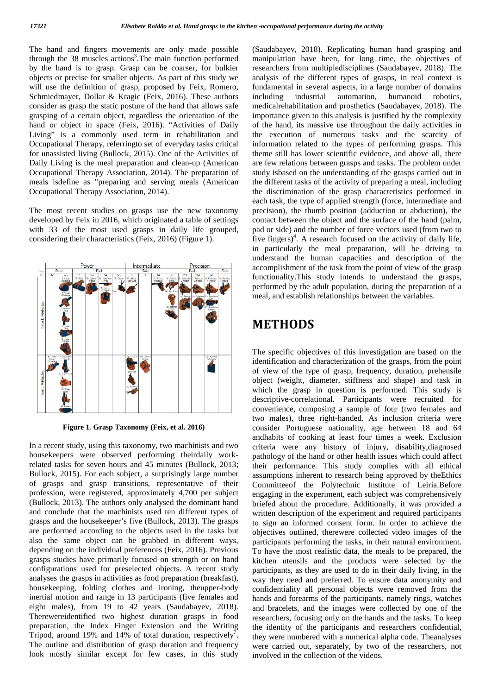The hand and fingers movements are only made possible through the 38 muscles actions<sup>3</sup>. The main function performed mani by the hand is to grasp. Grasp can be coarser, for bulkier objects or precise for smaller objects. As part of this study we will use the definition of grasp, proposed by Feix, Romero, Schmiedmayer, Dollar & Kragic (Feix, 2016). These authors including consider as grasp the static posture of the hand that allows safe grasping of a certain object, regardless the orientation of the hand or object in space (Feix, 2016). "Activities of Daily Living" is a commonly used term in rehabilitation and Occupational Therapy, referringto set of everyday tasks critical for unassisted living (Bullock, 2015). One of the Activities of Daily Living is the meal preparation and clean-up (American Occupational Therapy Association, 2014). The preparation of meals isdefine as "preparing and serving meals (American Occupational Therapy Association, 2014).

The most recent studies on grasps use the new taxonomy developed by Feix in 2016, which originated a table of settings with 33 of the most used grasps in daily life grouped, considering their characteristics (Feix, 2016) (Figure 1).



**Figure 1***.* **Grasp Taxonomy (Feix, et al. 2016)**

In a recent study, using this taxonomy, two machinists and two housekeepers were observed performing theirdaily workrelated tasks for seven hours and 45 minutes (Bullock, 2013; Bullock, 2015). For each subject, a surprisingly large number of grasps and grasp transitions, representative of their profession, were registered, approximately 4,700 per subject (Bullock, 2013). The authors only analysed the dominant hand and conclude that the machinists used ten different types of grasps and the housekeeper's five (Bullock, 2013). The grasps are performed according to the objects used in the tasks but also the same object can be grabbed in different ways, depending on the individual preferences (Feix, 2016). Previous grasps studies have primarily focused on strength or on hand configurations used for preselected objects. A recent study analyses the grasps in activities as food preparation (breakfast), housekeeping, folding clothes and ironing, theupper-body inertial motion and range in 13 participants (five females and eight males), from 19 to 42 years (Saudabayev, 2018). Therewereidentified two highest duration grasps in food preparation, the Index Finger Extension and the Writing Tripod, around 19% and 14% of total duration, respectively<sup>7</sup>. the The outline and distribution of grasp duration and frequency look mostly similar except for few cases, in this study

(Saudabayev, 2018). Replicating human hand grasping and manipulation have been, for long time, the objectives of researchers from multipledisciplines (Saudabayev, 2018). The analysis of the different types of grasps, in real context is fundamental in several aspects, in a large number of domains industrial automation, humanoid robotics, medicalrehabilitation and prosthetics (Saudabayev, 2018). The importance given to this analysis is justified by the complexity of the hand, its massive use throughout the daily activities in the execution of numerous tasks and the scarcity of information related to the types of performing grasps. This theme still has lower scientific evidence, and above all, there are few relations between grasps and tasks. The problem under study isbased on the understanding of the grasps carried out in the different tasks of the activity of preparing a meal, including the discrimination of the grasp characteristics performed in each task, the type of applied strength (force, intermediate and precision), the thumb position (adduction or abduction), the contact between the object and the surface of the hand (palm, pad or side) and the number of force vectors used (from two to five fingers)<sup>4</sup>. A research focused on the activity of daily life, in particularly the meal preparation, will be driving to understand the human capacities and description of the accomplishment of the task from the point of view of the grasp functionality.This study intends to understand the grasps, performed by the adult population, during the preparation of a meal, and establish relationships between the variables.

## **METHODS**

The specific objectives of this investigation are based on the identification and characterization of the grasps, from the point of view of the type of grasp, frequency, duration, prehensile object (weight, diameter, stiffness and shape) and task in which the grasp in question is performed. This study is descriptive-correlational. Participants were recruited for convenience, composing a sample of four (two females and two males), three right-handed. As inclusion criteria were consider Portuguese nationality, age between 18 and 64 andhabits of cooking at least four times a week. Exclusion criteria were any history of injury, disability,diagnosed pathology of the hand or other health issues which could affect their performance. This study complies with all ethical assumptions inherent to research being approved by theEthics Committeeof the Polytechnic Institute of Leiria.Before engaging in the experiment, each subject was comprehensively briefed about the procedure. Additionally, it was provided a written description of the experiment and required participants to sign an informed consent form. In order to achieve the objectives outlined, therewere collected video images of the participants performing the tasks, in their natural environment. To have the most realistic data, the meals to be prepared, the kitchen utensils and the products were selected by the participants, as they are used to do in their daily living, in the way they need and preferred. To ensure data anonymity and confidentiality all personal objects were removed from the hands and forearms of the participants, namely rings, watches and bracelets, and the images were collected by one of the researchers, focusing only on the hands and the tasks. To keep the identity of the participants and researchers confidential, they were numbered with a numerical alpha code. Theanalyses were carried out, separately, by two of the researchers, not involved in the collection of the videos.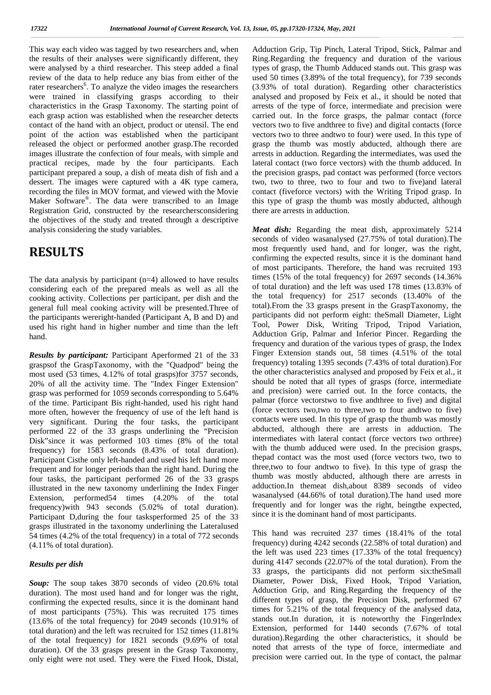This way each video was tagged by two researchers and, when the results of their analyses were significantly different, they were analysed by a third researcher. This steep added a final review of the data to help reduce any bias from either of the rater researchers<sup>6</sup>. To analyze the video images the researchers (3. were trained in classifying grasps according to their characteristics in the Grasp Taxonomy. The starting point of each grasp action was established when the researcher detects contact of the hand with an object, product or utensil. The end point of the action was established when the participant released the object or performed another grasp.The recorded images illustrate the confection of four meals, with simple and practical recipes, made by the four participants. Each participant prepared a soup, a dish of meata dish of fish and a dessert. The images were captured with a 4K type camera, recording the files in MOV format, and viewed with the Movie Maker Software®. The data were transcribed to an Image this Registration Grid, constructed by the researchersconsidering the objectives of the study and treated through a descriptive analysis considering the study variables.

#### **RESULTS**

The data analysis by participant (n=4) allowed to have results considering each of the prepared meals as well as all the cooking activity. Collections per participant, per dish and the general full meal cooking activity will be presented.Three of the participants wereright-handed (Participant A, B and D) and used his right hand in higher number and time than the left hand.

*Results by participant:* Participant Aperformed 21 of the 33 graspsof the GraspTaxonomy, with the "Quadpod" being the most used (53 times, 4.12% of total grasps)for 3757 seconds, 20% of all the activity time. The "Index Finger Extension" grasp was performed for 1059 seconds corresponding to 5.64% of the time. Participant Bis right-handed, used his right hand more often, however the frequency of use of the left hand is very significant. During the four tasks, the participant performed 22 of the 33 grasps underlining the "Precision Disk"since it was performed 103 times (8% of the total frequency) for 1583 seconds (8.43% of total duration). Participant Cisthe only left-handed and used his left hand more frequent and for longer periods than the right hand. During the four tasks, the participant performed 26 of the 33 grasps illustrated in the new taxonomy underlining the Index Finger Extension, performed54 times (4.20% of the total frequency)with 943 seconds (5.02% of total duration). Participant D,during the four tasksperformed 25 of the 33 grasps illustrated in the taxonomy underlining the Lateralused 54 times (4.2% of the total frequency) in a total of 772 seconds (4.11% of total duration).

#### *Results per dish*

*Soup:* The soup takes 3870 seconds of video (20.6% total duration). The most used hand and for longer was the right, confirming the expected results, since it is the dominant hand of most participants (75%). This was recruited 175 times (13.6% of the total frequency) for 2049 seconds (10.91% of total duration) and the left was recruited for 152 times (11.81% of the total frequency) for 1821 seconds (9.69% of total duration). Of the 33 grasps present in the Grasp Taxonomy, only eight were not used. They were the Fixed Hook, Distal,

Adduction Grip, Tip Pinch, Lateral Tripod, Stick, Palmar and Ring.Regarding the frequency and duration of the various types of grasp, the Thumb Adduced stands out. This grasp was used 50 times (3.89% of the total frequency), for 739 seconds (3.93% of total duration). Regarding other characteristics analysed and proposed by Feix et al., it should be noted that arrests of the type of force, intermediate and precision were carried out. In the force grasps, the palmar contact (force vectors two to five andthree to five) and digital contacts (force vectors two to three andtwo to four) were used. In this type of grasp the thumb was mostly abducted, although there are arrests in adduction. Regarding the intermediates, was used the lateral contact (two force vectors) with the thumb adduced. In the precision grasps, pad contact was performed (force vectors two, two to three, two to four and two to five)and lateral contact (fiveforce vectors) with the Writing Tripod grasp. In this type of grasp the thumb was mostly abducted, although there are arrests in adduction.

*Meat dish:* Regarding the meat dish, approximately 5214 seconds of video wasanalysed (27.75% of total duration).The most frequently used hand, and for longer, was the right, confirming the expected results, since it is the dominant hand of most participants. Therefore, the hand was recruited 193 times (15% of the total frequency) for 2697 seconds (14.36% of total duration) and the left was used 178 times (13.83% of the total frequency) for 2517 seconds (13.40% of the total).From the 33 grasps present in the GraspTaxonomy, the participants did not perform eight: theSmall Diameter, Light Tool, Power Disk, Writing Tripod, Tripod Variation, Adduction Grip, Palmar and Inferior Pincer. Regarding the frequency and duration of the various types of grasp, the Index Finger Extension stands out, 58 times (4.51% of the total frequency) totaling 1395 seconds (7.43% of total duration).For the other characteristics analysed and proposed by Feix et al., it should be noted that all types of grasps (force, intermediate and precision) were carried out. In the force contacts, the palmar (force vectorstwo to five andthree to five) and digital (force vectors two,two to three,two to four andtwo to five) contacts were used. In this type of grasp the thumb was mostly abducted, although there are arrests in adduction. The intermediates with lateral contact (force vectors two orthree) with the thumb adduced were used. In the precision grasps, thepad contact was the most used (force vectors two, two to three,two to four andtwo to five). In this type of grasp the thumb was mostly abducted, although there are arrests in adduction.In themeat dish,about 8389 seconds of video wasanalysed (44.66% of total duration).The hand used more frequently and for longer was the right, beingthe expected, since it is the dominant hand of most participants.

This hand was recruited 237 times (18.41% of the total frequency) during 4242 seconds (22.58% of total duration) and the left was used 223 times (17.33% of the total frequency) during 4147 seconds (22.07% of the total duration). From the 33 grasps, the participants did not perform six:theSmall Diameter, Power Disk, Fixed Hook, Tripod Variation, Adduction Grip, and Ring.Regarding the frequency of the different types of grasp, the Precision Disk, performed 67 times for 5.21% of the total frequency of the analysed data, stands out.In duration, it is noteworthy the FingerIndex Extension, performed for 1440 seconds (7.67% of total duration).Regarding the other characteristics, it should be noted that arrests of the type of force, intermediate and precision were carried out. In the type of contact, the palmar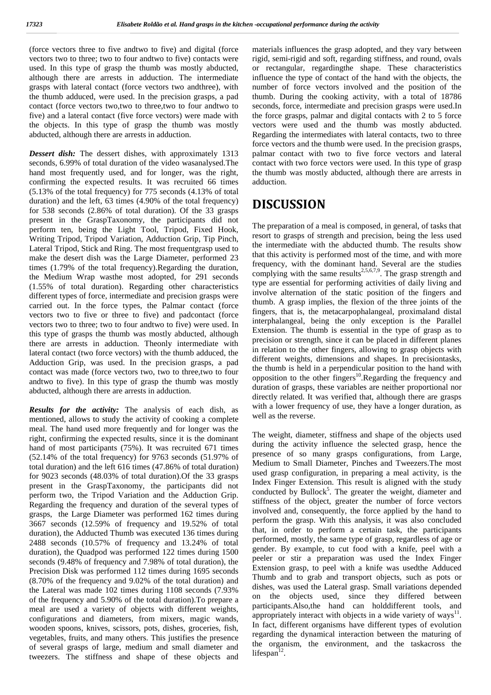(force vectors three to five andtwo to five) and digital (force vectors two to three; two to four andtwo to five) contacts were used. In this type of grasp the thumb was mostly abducted, although there are arrests in adduction. The intermediate grasps with lateral contact (force vectors two andthree), with the thumb adduced, were used. In the precision grasps, a pad contact (force vectors two,two to three,two to four andtwo to five) and a lateral contact (five force vectors) were made with the objects. In this type of grasp the thumb was mostly abducted, although there are arrests in adduction.

*Dessert dish:* The dessert dishes, with approximately 1313 seconds, 6.99% of total duration of the video wasanalysed.The hand most frequently used, and for longer, was the right, confirming the expected results. It was recruited 66 times (5.13% of the total frequency) for 775 seconds (4.13% of total duration) and the left, 63 times (4.90% of the total frequency) for 538 seconds (2.86% of total duration). Of the 33 grasps present in the GraspTaxonomy, the participants did not perform ten, being the Light Tool, Tripod, Fixed Hook, Writing Tripod, Tripod Variation, Adduction Grip, Tip Pinch, Lateral Tripod, Stick and Ring. The most frequentgrasp used to make the desert dish was the Large Diameter, performed 23 times (1.79% of the total frequency).Regarding the duration, the Medium Wrap wasthe most adopted, for 291 seconds (1.55% of total duration). Regarding other characteristics different types of force, intermediate and precision grasps were carried out. In the force types, the Palmar contact (force vectors two to five or three to five) and padcontact (force vectors two to three; two to four andtwo to five) were used. In this type of grasps the thumb was mostly abducted, although there are arrests in adduction. Theonly intermediate with lateral contact (two force vectors) with the thumb adduced, the Adduction Grip, was used. In the precision grasps, a pad contact was made (force vectors two, two to three,two to four andtwo to five). In this type of grasp the thumb was mostly abducted, although there are arrests in adduction.

*Results for the activity:* The analysis of each dish, as mentioned, allows to study the activity of cooking a complete meal. The hand used more frequently and for longer was the right, confirming the expected results, since it is the dominant hand of most participants (75%). It was recruited 671 times (52.14% of the total frequency) for 9763 seconds (51.97% of total duration) and the left 616 times (47.86% of total duration) for 9023 seconds (48.03% of total duration).Of the 33 grasps present in the GraspTaxonomy, the participants did not perform two, the Tripod Variation and the Adduction Grip. Regarding the frequency and duration of the several types of grasps, the Large Diameter was performed 162 times during 3667 seconds (12.59% of frequency and 19.52% of total duration), the Adducted Thumb was executed 136 times during 2488 seconds (10.57% of frequency and 13.24% of total duration), the Quadpod was performed 122 times during 1500 seconds (9.48% of frequency and 7.98% of total duration), the Precision Disk was performed 112 times during 1695 seconds (8.70% of the frequency and 9.02% of the total duration) and the Lateral was made 102 times during 1108 seconds (7.93% of the frequency and 5.90% of the total duration).To prepare a meal are used a variety of objects with different weights, configurations and diameters, from mixers, magic wands, wooden spoons, knives, scissors, pots, dishes, groceries, fish, vegetables, fruits, and many others. This justifies the presence of several grasps of large, medium and small diameter and tweezers. The stiffness and shape of these objects and

materials influences the grasp adopted, and they vary between rigid, semi-rigid and soft, regarding stiffness, and round, ovals or rectangular, regardingthe shape. These characteristics influence the type of contact of the hand with the objects, the number of force vectors involved and the position of the thumb. During the cooking activity, with a total of 18786 seconds, force, intermediate and precision grasps were used.In the force grasps, palmar and digital contacts with 2 to 5 force vectors were used and the thumb was mostly abducted. Regarding the intermediates with lateral contacts, two to three force vectors and the thumb were used. In the precision grasps, palmar contact with two to five force vectors and lateral contact with two force vectors were used. In this type of grasp the thumb was mostly abducted, although there are arrests in adduction.

## **DISCUSSION**

The preparation of a meal is composed, in general, of tasks that resort to grasps of strength and precision, being the less used the intermediate with the abducted thumb. The results show that this activity is performed most of the time, and with more frequency, with the dominant hand. Several are the studies complying with the same results<sup>2,5,6,7,9</sup>. The grasp strength and type are essential for performing activities of daily living and involve alternation of the static position of the fingers and thumb. A grasp implies, the flexion of the three joints of the fingers, that is, the metacarpophalangeal, proximaland distal interphalangeal, being the only exception is the Parallel Extension. The thumb is essential in the type of grasp as to precision or strength, since it can be placed in different planes in relation to the other fingers, allowing to grasp objects with different weights, dimensions and shapes. In precisiontasks, the thumb is held in a perpendicular position to the hand with opposition to the other fingers<sup>10</sup>. Regarding the frequency and duration of grasps, these variables are neither proportional nor directly related. It was verified that, although there are grasps with a lower frequency of use, they have a longer duration, as well as the reverse.

The weight, diameter, stiffness and shape of the objects used during the activity influence the selected grasp, hence the presence of so many grasps configurations, from Large, Medium to Small Diameter, Pinches and Tweezers.The most used grasp configuration, in preparing a meal activity, is the Index Finger Extension. This result is aligned with the study conducted by Bullock<sup>5</sup>. The greater the weight, diameter and stiffness of the object, greater the number of force vectors involved and, consequently, the force applied by the hand to perform the grasp. With this analysis, it was also concluded that, in order to perform a certain task, the participants performed, mostly, the same type of grasp, regardless of age or gender. By example, to cut food with a knife, peel with a peeler or stir a preparation was used the Index Finger Extension grasp, to peel with a knife was usedthe Adduced Thumb and to grab and transport objects, such as pots or dishes, was used the Lateral grasp. Small variations depended on the objects used, since they differed between participants.Also,the hand can holddifferent tools, and appropriately interact with objects in a wide variety of ways $^{11}$ . In fact, different organisms have different types of evolution regarding the dynamical interaction between the maturing of the organism, the environment, and the taskacross the lifespan<sup>12</sup>.